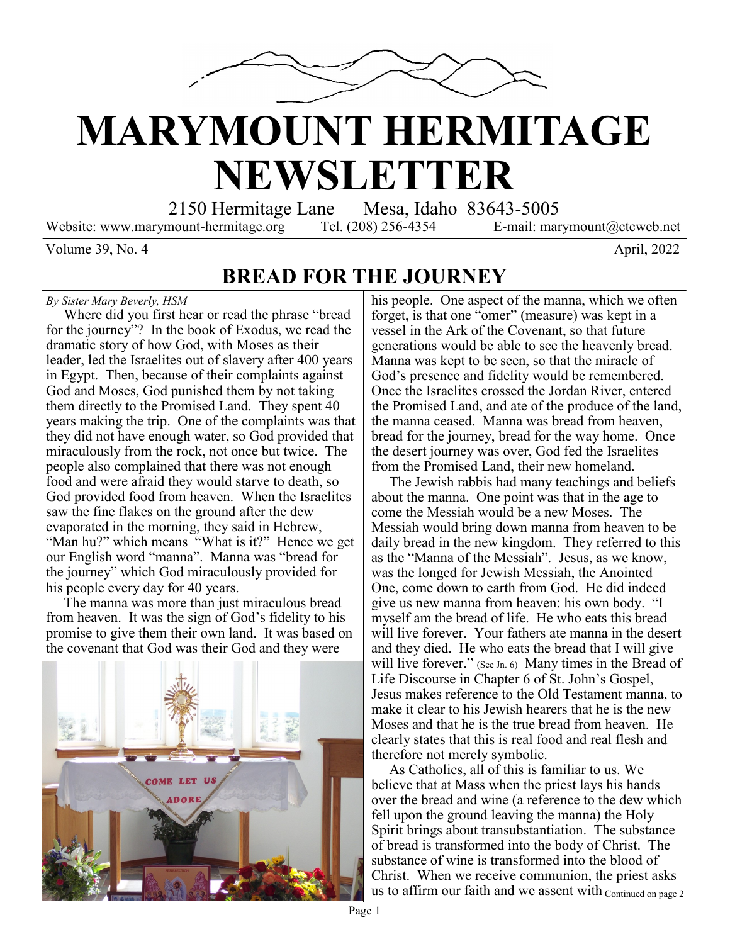

# **MARYMOUNT HERMITAGE NEWSLETTER**

2150 Hermitage Lane Mesa, Idaho 83643-5005

Website: www.marymount-hermitage.org Tel. (208) 256-4354 E-mail: marymount@ctcweb.net

Volume 39, No. 4  $\mu$  2022

### **BREAD FOR THE JOURNEY**

#### *By Sister Mary Beverly, HSM*

 Where did you first hear or read the phrase "bread for the journey"? In the book of Exodus, we read the dramatic story of how God, with Moses as their leader, led the Israelites out of slavery after 400 years in Egypt. Then, because of their complaints against God and Moses, God punished them by not taking them directly to the Promised Land. They spent 40 years making the trip. One of the complaints was that they did not have enough water, so God provided that miraculously from the rock, not once but twice. The people also complained that there was not enough food and were afraid they would starve to death, so God provided food from heaven. When the Israelites saw the fine flakes on the ground after the dew evaporated in the morning, they said in Hebrew, "Man hu?" which means "What is it?" Hence we get our English word "manna". Manna was "bread for the journey" which God miraculously provided for his people every day for 40 years.

 The manna was more than just miraculous bread from heaven. It was the sign of God's fidelity to his promise to give them their own land. It was based on the covenant that God was their God and they were



his people. One aspect of the manna, which we often forget, is that one "omer" (measure) was kept in a vessel in the Ark of the Covenant, so that future generations would be able to see the heavenly bread. Manna was kept to be seen, so that the miracle of God's presence and fidelity would be remembered. Once the Israelites crossed the Jordan River, entered the Promised Land, and ate of the produce of the land, the manna ceased. Manna was bread from heaven, bread for the journey, bread for the way home. Once the desert journey was over, God fed the Israelites from the Promised Land, their new homeland.

 The Jewish rabbis had many teachings and beliefs about the manna. One point was that in the age to come the Messiah would be a new Moses. The Messiah would bring down manna from heaven to be daily bread in the new kingdom. They referred to this as the "Manna of the Messiah". Jesus, as we know, was the longed for Jewish Messiah, the Anointed One, come down to earth from God. He did indeed give us new manna from heaven: his own body. "I myself am the bread of life. He who eats this bread will live forever. Your fathers ate manna in the desert and they died. He who eats the bread that I will give will live forever." (See Jn. 6) Many times in the Bread of Life Discourse in Chapter 6 of St. John's Gospel, Jesus makes reference to the Old Testament manna, to make it clear to his Jewish hearers that he is the new Moses and that he is the true bread from heaven. He clearly states that this is real food and real flesh and therefore not merely symbolic.

us to affirm our faith and we assent with  $_{\text{Continued on page 2}}$  As Catholics, all of this is familiar to us. We believe that at Mass when the priest lays his hands over the bread and wine (a reference to the dew which fell upon the ground leaving the manna) the Holy Spirit brings about transubstantiation. The substance of bread is transformed into the body of Christ. The substance of wine is transformed into the blood of Christ. When we receive communion, the priest asks

Page 1